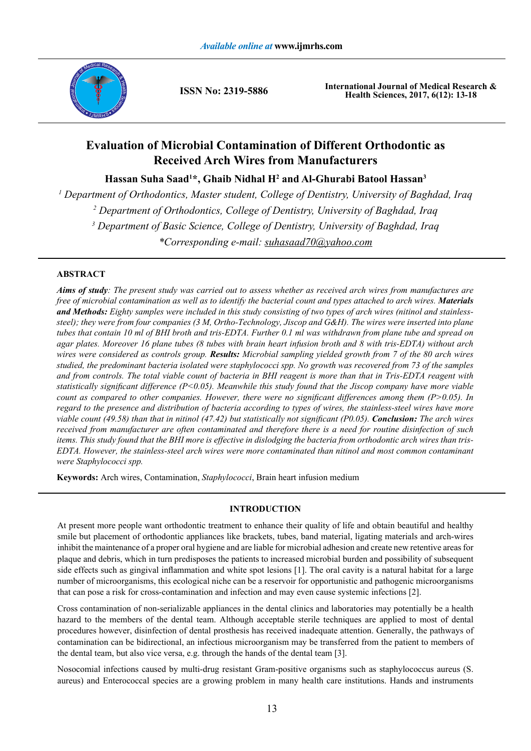

**ISSN No: 2319-5886**

**International Journal of Medical Research & Health Sciences, 2017, 6(12): 13-18**

# **Evaluation of Microbial Contamination of Different Orthodontic as Received Arch Wires from Manufacturers**

**Hassan Suha Saad1 \*, Ghaib Nidhal H2 and Al-Ghurabi Batool Hassan3**

  *Department of Orthodontics, Master student, College of Dentistry, University of Baghdad, Iraq Department of Orthodontics, College of Dentistry, University of Baghdad, Iraq Department of Basic Science, College of Dentistry, University of Baghdad, Iraq \*Corresponding e-mail: suhasaad70@yahoo.com*

# **ABSTRACT**

*Aims of study: The present study was carried out to assess whether as received arch wires from manufactures are free of microbial contamination as well as to identify the bacterial count and types attached to arch wires. Materials and Methods: Eighty samples were included in this study consisting of two types of arch wires (nitinol and stainlesssteel); they were from four companies (3 M, Ortho-Technology, Jiscop and G&H). The wires were inserted into plane tubes that contain 10 ml of BHI broth and tris-EDTA. Further 0.1 ml was withdrawn from plane tube and spread on agar plates. Moreover 16 plane tubes (8 tubes with brain heart infusion broth and 8 with tris-EDTA) without arch wires were considered as controls group. Results: Microbial sampling yielded growth from 7 of the 80 arch wires studied, the predominant bacteria isolated were staphylococci spp. No growth was recovered from 73 of the samples and from controls. The total viable count of bacteria in BHI reagent is more than that in Tris-EDTA reagent with statistically significant difference (P<0.05). Meanwhile this study found that the Jiscop company have more viable count as compared to other companies. However, there were no significant differences among them (P>0.05). In regard to the presence and distribution of bacteria according to types of wires, the stainless-steel wires have more viable count (49.58) than that in nitinol (47.42) but statistically not significant (P0.05). Conclusion: The arch wires received from manufacturer are often contaminated and therefore there is a need for routine disinfection of such items. This study found that the BHI more is effective in dislodging the bacteria from orthodontic arch wires than tris-EDTA. However, the stainless-steel arch wires were more contaminated than nitinol and most common contaminant were Staphylococci spp.*

**Keywords:** Arch wires, Contamination, *Staphylococci*, Brain heart infusion medium

#### **INTRODUCTION**

At present more people want orthodontic treatment to enhance their quality of life and obtain beautiful and healthy smile but placement of orthodontic appliances like brackets, tubes, band material, ligating materials and arch-wires inhibit the maintenance of a proper oral hygiene and are liable for microbial adhesion and create new retentive areas for plaque and debris, which in turn predisposes the patients to increased microbial burden and possibility of subsequent side effects such as gingival inflammation and white spot lesions [1]. The oral cavity is a natural habitat for a large number of microorganisms, this ecological niche can be a reservoir for opportunistic and pathogenic microorganisms that can pose a risk for cross-contamination and infection and may even cause systemic infections [2].

Cross contamination of non-serializable appliances in the dental clinics and laboratories may potentially be a health hazard to the members of the dental team. Although acceptable sterile techniques are applied to most of dental procedures however, disinfection of dental prosthesis has received inadequate attention. Generally, the pathways of contamination can be bidirectional, an infectious microorganism may be transferred from the patient to members of the dental team, but also vice versa, e.g. through the hands of the dental team [3].

Nosocomial infections caused by multi-drug resistant Gram-positive organisms such as staphylococcus aureus (S. aureus) and Enterococcal species are a growing problem in many health care institutions. Hands and instruments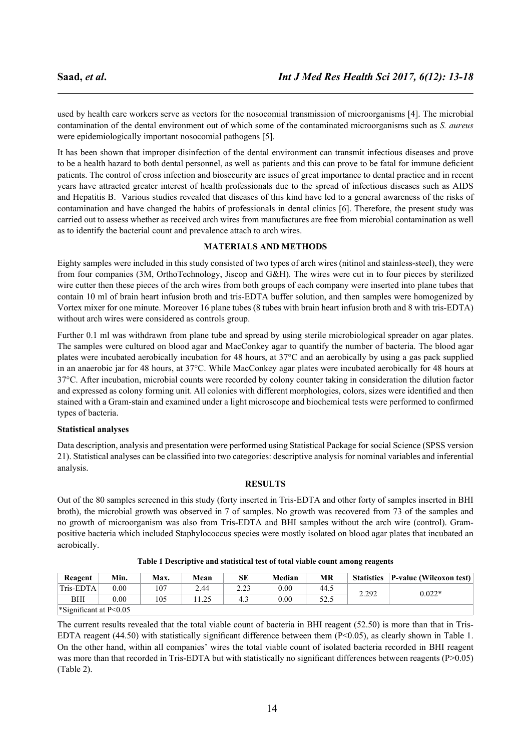used by health care workers serve as vectors for the nosocomial transmission of microorganisms [4]. The microbial contamination of the dental environment out of which some of the contaminated microorganisms such as *S. aureus*  were epidemiologically important nosocomial pathogens [5].

It has been shown that improper disinfection of the dental environment can transmit infectious diseases and prove to be a health hazard to both dental personnel, as well as patients and this can prove to be fatal for immune deficient patients. The control of cross infection and biosecurity are issues of great importance to dental practice and in recent years have attracted greater interest of health professionals due to the spread of infectious diseases such as AIDS and Hepatitis B. Various studies revealed that diseases of this kind have led to a general awareness of the risks of contamination and have changed the habits of professionals in dental clinics [6]. Therefore, the present study was carried out to assess whether as received arch wires from manufactures are free from microbial contamination as well as to identify the bacterial count and prevalence attach to arch wires.

# **MATERIALS AND METHODS**

Eighty samples were included in this study consisted of two types of arch wires (nitinol and stainless-steel), they were from four companies (3M, OrthoTechnology, Jiscop and G&H). The wires were cut in to four pieces by sterilized wire cutter then these pieces of the arch wires from both groups of each company were inserted into plane tubes that contain 10 ml of brain heart infusion broth and tris-EDTA buffer solution, and then samples were homogenized by Vortex mixer for one minute. Moreover 16 plane tubes (8 tubes with brain heart infusion broth and 8 with tris-EDTA) without arch wires were considered as controls group.

Further 0.1 ml was withdrawn from plane tube and spread by using sterile microbiological spreader on agar plates. The samples were cultured on blood agar and MacConkey agar to quantify the number of bacteria. The blood agar plates were incubated aerobically incubation for 48 hours, at 37°C and an aerobically by using a gas pack supplied in an anaerobic jar for 48 hours, at 37°C. While MacConkey agar plates were incubated aerobically for 48 hours at 37°C. After incubation, microbial counts were recorded by colony counter taking in consideration the dilution factor and expressed as colony forming unit. All colonies with different morphologies, colors, sizes were identified and then stained with a Gram-stain and examined under a light microscope and biochemical tests were performed to confirmed types of bacteria.

#### **Statistical analyses**

Data description, analysis and presentation were performed using Statistical Package for social Science (SPSS version 21). Statistical analyses can be classified into two categories: descriptive analysis for nominal variables and inferential analysis.

### **RESULTS**

Out of the 80 samples screened in this study (forty inserted in Tris-EDTA and other forty of samples inserted in BHI broth), the microbial growth was observed in 7 of samples. No growth was recovered from 73 of the samples and no growth of microorganism was also from Tris-EDTA and BHI samples without the arch wire (control). Grampositive bacteria which included Staphylococcus species were mostly isolated on blood agar plates that incubated an aerobically.

| Reagent                  | Min. | Max. | Mean | SЕ   | Median | <b>MR</b> | <b>Statistics</b> | <b>P-value (Wilcoxon test)</b> |  |
|--------------------------|------|------|------|------|--------|-----------|-------------------|--------------------------------|--|
| Tris-EDTA                | 0.00 | 107  | 2.44 | 2.23 | 0.00   | 44.5      | 2.292             | $0.022*$                       |  |
| BHI                      | 0.00 | 105  | 1.25 | 4.3  | 0.00   | 52.5      |                   |                                |  |
| *Significant at $P<0.05$ |      |      |      |      |        |           |                   |                                |  |

|  | Table 1 Descriptive and statistical test of total viable count among reagents |
|--|-------------------------------------------------------------------------------|
|--|-------------------------------------------------------------------------------|

The current results revealed that the total viable count of bacteria in BHI reagent (52.50) is more than that in Tris-EDTA reagent (44.50) with statistically significant difference between them (P<0.05), as clearly shown in Table 1. On the other hand, within all companies' wires the total viable count of isolated bacteria recorded in BHI reagent was more than that recorded in Tris-EDTA but with statistically no significant differences between reagents (P>0.05) (Table 2).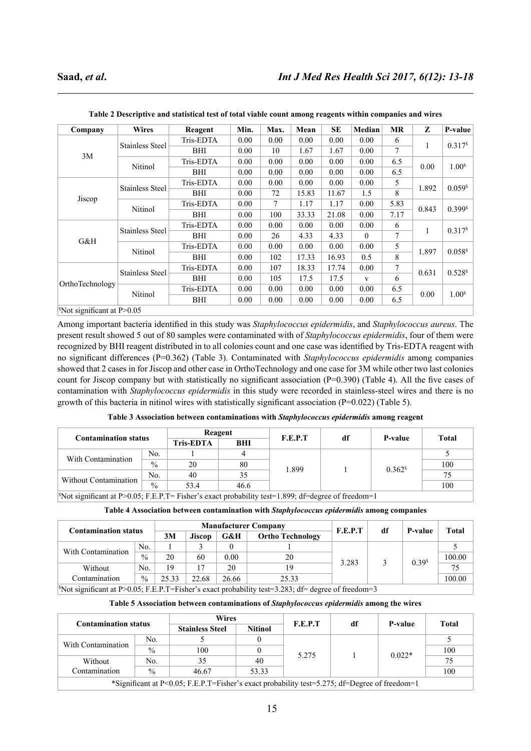| Company                                     | <b>Wires</b>           | Reagent   | Min. | Max. | Mean  | <b>SE</b> | Median   | <b>MR</b>     | Z     | P-value               |
|---------------------------------------------|------------------------|-----------|------|------|-------|-----------|----------|---------------|-------|-----------------------|
|                                             |                        | Tris-EDTA | 0.00 | 0.00 | 0.00  | 0.00      | 0.00     | 6             |       | 0.317 <sup>s</sup>    |
| 3M                                          | <b>Stainless Steel</b> | BHI       | 0.00 | 10   | 1.67  | 1.67      | 0.00     | 7             | 1     |                       |
|                                             | Nitinol                | Tris-EDTA | 0.00 | 0.00 | 0.00  | 0.00      | 0.00     | 6.5           | 0.00  | 1.00 <sup>s</sup>     |
|                                             |                        | BHI       | 0.00 | 0.00 | 0.00  | 0.00      | 0.00     | 6.5           |       |                       |
|                                             | <b>Stainless Steel</b> | Tris-EDTA | 0.00 | 0.00 | 0.00  | 0.00      | 0.00     | 5             | 1.892 | 0.059 <sup>s</sup>    |
|                                             |                        | BHI       | 0.00 | 72   | 15.83 | 11.67     | 1.5      | 8             |       |                       |
| Jiscop                                      | Nitinol                | Tris-EDTA | 0.00 | 7    | 1.17  | 1.17      | 0.00     | 5.83<br>0.843 |       | $0.399$ <sup>\$</sup> |
|                                             |                        | BHI       | 0.00 | 100  | 33.33 | 21.08     | 0.00     | 7.17          |       |                       |
|                                             |                        | Tris-EDTA | 0.00 | 0.00 | 0.00  | 0.00      | 0.00     | 6             |       | 0.317 <sup>s</sup>    |
| G&H                                         | <b>Stainless Steel</b> | BHI       | 0.00 | 26   | 4.33  | 4.33      | $\theta$ | 7             | 1     |                       |
|                                             | Nitinol                | Tris-EDTA | 0.00 | 0.00 | 0.00  | 0.00      | 0.00     | 5             | 1.897 | $0.058$ <sup>\$</sup> |
|                                             |                        | BHI       | 0.00 | 102  | 17.33 | 16.93     | 0.5      | 8             |       |                       |
|                                             | <b>Stainless Steel</b> | Tris-EDTA | 0.00 | 107  | 18.33 | 17.74     | 0.00     | $\tau$        | 0.631 |                       |
|                                             |                        | BHI       | 0.00 | 105  | 17.5  | 17.5      | V        | 6             |       | 0.528 <sup>s</sup>    |
| OrthoTechnology                             |                        | Tris-EDTA | 0.00 | 0.00 | 0.00  | 0.00      | 0.00     | 6.5           |       | 1.00 <sup>s</sup>     |
|                                             | Nitinol                | BHI       | 0.00 | 0.00 | 0.00  | 0.00      | 0.00     | 6.5           | 0.00  |                       |
| $\textdegree$ Not significant at P $> 0.05$ |                        |           |      |      |       |           |          |               |       |                       |

**Table 2 Descriptive and statistical test of total viable count among reagents within companies and wires**

Among important bacteria identified in this study was *Staphylococcus epidermidis*, and *Staphylococcus aureus*. The present result showed 5 out of 80 samples were contaminated with of *Staphylococcus epidermidis*, four of them were recognized by BHI reagent distributed in to all colonies count and one case was identified by Tris-EDTA reagent with no significant differences (P=0.362) (Table 3). Contaminated with *Staphylococcus epidermidis* among companies showed that 2 cases in for Jiscop and other case in OrthoTechnology and one case for 3M while other two last colonies count for Jiscop company but with statistically no significant association  $(P=0.390)$  (Table 4). All the five cases of contamination with *Staphylococcus epidermidis* in this study were recorded in stainless-steel wires and there is no growth of this bacteria in nitinol wires with statistically significant association  $(P=0.022)$  (Table 5).

| <b>Contamination status</b> |      |                  |         |                  |    | Total                         |
|-----------------------------|------|------------------|---------|------------------|----|-------------------------------|
|                             |      | BHI              |         |                  |    |                               |
| No.                         |      |                  |         |                  |    |                               |
| $\frac{0}{0}$               | 20   | 80               |         |                  |    | 100                           |
| No.                         | 40   |                  |         |                  |    | 75                            |
| $\frac{0}{0}$               | 53.4 | 46.6             |         |                  |    | 100                           |
|                             |      | <b>Tris-EDTA</b> | Reagent | F.E.P.T<br>1.899 | df | P-value<br>0.362 <sup>s</sup> |

\$ Not significant at P>0.05; F.E.P.T= Fisher's exact probability test=1.899; df=degree of freedom=1

**Table 4 Association between contamination with** *Staphylococcus epidermidis* **among companies**

| <b>Contamination status</b> |                                                                                                    |       |                                                 |       | <b>Manufacturer Company</b> | F.E.P.T | df | P-value           | Total  |  |  |
|-----------------------------|----------------------------------------------------------------------------------------------------|-------|-------------------------------------------------|-------|-----------------------------|---------|----|-------------------|--------|--|--|
|                             |                                                                                                    | 3M    | <b>Ortho Technology</b><br>G&H<br><b>Jiscop</b> |       |                             |         |    |                   |        |  |  |
| With Contamination          | No.                                                                                                |       |                                                 |       |                             |         |    |                   |        |  |  |
|                             | $\frac{0}{0}$                                                                                      | 20    | 60                                              | 0.00  | 20                          | 3.283   |    | 0.39 <sup>s</sup> | 100.00 |  |  |
| Without                     | No.                                                                                                | 19    | 17                                              | 20    | 19                          |         |    |                   | 75     |  |  |
| Contamination               | $\frac{0}{0}$                                                                                      | 25.33 | 22.68                                           | 26.66 | 25.33                       |         |    |                   | 100.00 |  |  |
|                             | SNot significant at P>0.05; F.E.P.T=Fisher's exact probability test=3.283; df= degree of freedom=3 |       |                                                 |       |                             |         |    |                   |        |  |  |

**Table 5 Association between contaminations of** *Staphylococcus epidermidis* **among the wires**

| <b>Contamination status</b> |                                                                                               | <b>Wires</b>                             |       | F.E.P.T | df | P-value  | <b>Total</b> |  |  |  |  |
|-----------------------------|-----------------------------------------------------------------------------------------------|------------------------------------------|-------|---------|----|----------|--------------|--|--|--|--|
|                             |                                                                                               | <b>Nitinol</b><br><b>Stainless Steel</b> |       |         |    |          |              |  |  |  |  |
|                             | No.                                                                                           |                                          |       |         |    |          |              |  |  |  |  |
| With Contamination          | $\frac{0}{0}$                                                                                 | 100                                      |       |         |    | $0.022*$ | 100          |  |  |  |  |
| Without                     | No.                                                                                           | 35                                       | 40    | 5.275   |    |          | 75           |  |  |  |  |
| Contamination               | $\frac{0}{0}$                                                                                 | 46.67                                    | 53.33 |         |    |          | 100          |  |  |  |  |
|                             | *Significant at P<0.05; F.E.P.T=Fisher's exact probability test=5.275; df=Degree of freedom=1 |                                          |       |         |    |          |              |  |  |  |  |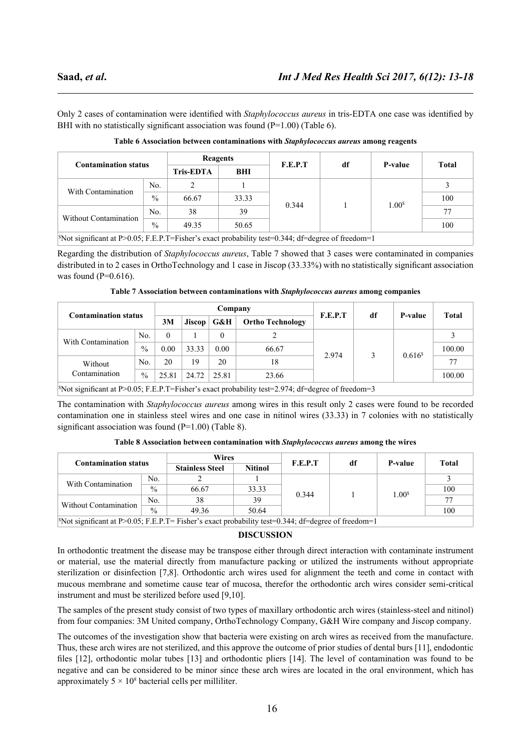Only 2 cases of contamination were identified with *Staphylococcus aureus* in tris-EDTA one case was identified by BHI with no statistically significant association was found  $(P=1.00)$  (Table 6).

| <b>Contamination status</b>                                                                                    |               | Reagents         |            |         |    | P-value           | Total |
|----------------------------------------------------------------------------------------------------------------|---------------|------------------|------------|---------|----|-------------------|-------|
|                                                                                                                |               | <b>Tris-EDTA</b> | <b>BHI</b> | F.E.P.T | df |                   |       |
| With Contamination                                                                                             | No.           | 2                |            |         |    |                   |       |
|                                                                                                                | $\frac{0}{0}$ | 66.67            | 33.33      |         |    |                   | 100   |
|                                                                                                                | No.           | 38               | 39         | 0.344   |    | 1.00 <sup>s</sup> | 77    |
| Without Contamination                                                                                          | $\frac{0}{0}$ | 49.35            | 50.65      |         |    |                   | 100   |
| <sup>[S</sup> Not significant at P>0.05; F.E.P.T=Fisher's exact probability test=0.344; df=degree of freedom=1 |               |                  |            |         |    |                   |       |

| Table 6 Association between contaminations with Staphylococcus aureus among reagents |  |  |
|--------------------------------------------------------------------------------------|--|--|
|--------------------------------------------------------------------------------------|--|--|

Regarding the distribution of *Staphylococcus aureus*, Table 7 showed that 3 cases were contaminated in companies distributed in to 2 cases in OrthoTechnology and 1 case in Jiscop (33.33%) with no statistically significant association was found  $(P=0.616)$ .

**Table 7 Association between contaminations with** *Staphylococcus aureus* **among companies**

| <b>Contamination status</b> |                                                                                                        |       |                                                 | Company |       | F.E.P.T |  | <b>P-value</b>     | Total  |  |
|-----------------------------|--------------------------------------------------------------------------------------------------------|-------|-------------------------------------------------|---------|-------|---------|--|--------------------|--------|--|
|                             |                                                                                                        | 3M    | G&H<br><b>Ortho Technology</b><br><b>Jiscop</b> |         |       | df      |  |                    |        |  |
| With Contamination          | No.                                                                                                    | 0     |                                                 |         |       |         |  |                    |        |  |
|                             | $\frac{0}{0}$                                                                                          | 0.00  | 33.33                                           | 0.00    | 66.67 | 2.974   |  |                    | 100.00 |  |
| Without                     | No.                                                                                                    | 20    | 19                                              | 20      | 18    |         |  | 0.616 <sup>s</sup> | 77     |  |
| Contamination               | $\frac{0}{0}$                                                                                          | 25.81 | 24.72                                           | 25.81   | 23.66 |         |  |                    | 100.00 |  |
|                             | SNot significant at $P > 0.05$ ; F.E.P.T=Fisher's exact probability test=2.974; df=degree of freedom=3 |       |                                                 |         |       |         |  |                    |        |  |

The contamination with *Staphylococcus aureus* among wires in this result only 2 cases were found to be recorded contamination one in stainless steel wires and one case in nitinol wires (33.33) in 7 colonies with no statistically significant association was found  $(P=1.00)$  (Table 8).

**Table 8 Association between contamination with** *Staphylococcus aureus* **among the wires**

| <b>Contamination status</b>                                                                                                                                                                      |               | <b>Wires</b>                             |       |         |    | <b>P-value</b>      |              |
|--------------------------------------------------------------------------------------------------------------------------------------------------------------------------------------------------|---------------|------------------------------------------|-------|---------|----|---------------------|--------------|
|                                                                                                                                                                                                  |               | <b>Nitinol</b><br><b>Stainless Steel</b> |       | F.E.P.T | df |                     | <b>Total</b> |
|                                                                                                                                                                                                  | No.           |                                          |       |         |    | $1.00^{\mathrm{s}}$ |              |
| With Contamination                                                                                                                                                                               | $\frac{0}{0}$ | 66.67                                    | 33.33 |         |    |                     | 100          |
|                                                                                                                                                                                                  | No.           | 38                                       | 39    | 0.344   |    |                     | 77           |
| Without Contamination                                                                                                                                                                            | $\frac{0}{0}$ | 49.36                                    | 50.64 |         |    |                     | 100          |
| $\frac{\text{SNot significant at } D > 0.05 \cdot F F D T = Eicher's exact probability test = 0.344 \cdot \text{d} = \text{dearea of freedom} = 1.544 \cdot \text{d} = \text{dearea of freedom}$ |               |                                          |       |         |    |                     |              |

\$ Not significant at P>0.05; F.E.P.T= Fisher's exact probability test=0.344; df=degree of freedom=1

#### **DISCUSSION**

In orthodontic treatment the disease may be transpose either through direct interaction with contaminate instrument or material, use the material directly from manufacture packing or utilized the instruments without appropriate sterilization or disinfection [7,8]. Orthodontic arch wires used for alignment the teeth and come in contact with mucous membrane and sometime cause tear of mucosa, therefor the orthodontic arch wires consider semi-critical instrument and must be sterilized before used [9,10].

The samples of the present study consist of two types of maxillary orthodontic arch wires (stainless-steel and nitinol) from four companies: 3M United company, OrthoTechnology Company, G&H Wire company and Jiscop company.

The outcomes of the investigation show that bacteria were existing on arch wires as received from the manufacture. Thus, these arch wires are not sterilized, and this approve the outcome of prior studies of dental burs [11], endodontic files [12], orthodontic molar tubes [13] and orthodontic pliers [14]. The level of contamination was found to be negative and can be considered to be minor since these arch wires are located in the oral environment, which has approximately  $5 \times 10^8$  bacterial cells per milliliter.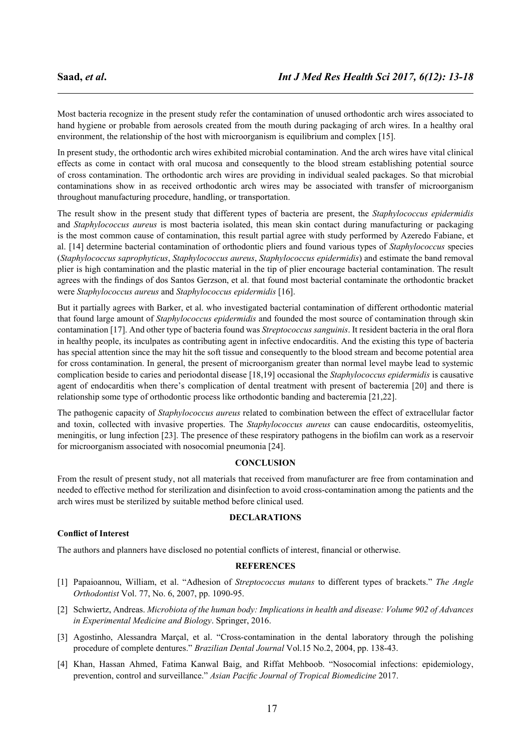Most bacteria recognize in the present study refer the contamination of unused orthodontic arch wires associated to hand hygiene or probable from aerosols created from the mouth during packaging of arch wires. In a healthy oral environment, the relationship of the host with microorganism is equilibrium and complex [15].

In present study, the orthodontic arch wires exhibited microbial contamination. And the arch wires have vital clinical effects as come in contact with oral mucosa and consequently to the blood stream establishing potential source of cross contamination. The orthodontic arch wires are providing in individual sealed packages. So that microbial contaminations show in as received orthodontic arch wires may be associated with transfer of microorganism throughout manufacturing procedure, handling, or transportation.

The result show in the present study that different types of bacteria are present, the *Staphylococcus epidermidis* and *Staphylococcus aureus* is most bacteria isolated, this mean skin contact during manufacturing or packaging is the most common cause of contamination, this result partial agree with study performed by Azeredo Fabiane, et al. [14] determine bacterial contamination of orthodontic pliers and found various types of *Staphylococcus* species (*Staphylococcus saprophyticus*, *Staphylococcus aureus*, *Staphylococcus epidermidis*) and estimate the band removal plier is high contamination and the plastic material in the tip of plier encourage bacterial contamination. The result agrees with the findings of dos Santos Gerzson, et al. that found most bacterial contaminate the orthodontic bracket were *Staphylococcus aureus* and *Staphylococcus epidermidis* [16].

But it partially agrees with Barker, et al. who investigated bacterial contamination of different orthodontic material that found large amount of *Staphylococcus epidermidis* and founded the most source of contamination through skin contamination [17]. And other type of bacteria found was *Streptococcus sanguinis*. It resident bacteria in the oral flora in healthy people, its inculpates as contributing agent in infective endocarditis. And the existing this type of bacteria has special attention since the may hit the soft tissue and consequently to the blood stream and become potential area for cross contamination. In general, the present of microorganism greater than normal level maybe lead to systemic complication beside to caries and periodontal disease [18,19] occasional the *Staphylococcus epidermidis* is causative agent of endocarditis when there's complication of dental treatment with present of bacteremia [20] and there is relationship some type of orthodontic process like orthodontic banding and bacteremia [21,22].

The pathogenic capacity of *Staphylococcus aureus* related to combination between the effect of extracellular factor and toxin, collected with invasive properties. The *Staphylococcus aureus* can cause endocarditis, osteomyelitis, meningitis, or lung infection [23]. The presence of these respiratory pathogens in the biofilm can work as a reservoir for microorganism associated with nosocomial pneumonia [24].

#### **CONCLUSION**

From the result of present study, not all materials that received from manufacturer are free from contamination and needed to effective method for sterilization and disinfection to avoid cross-contamination among the patients and the arch wires must be sterilized by suitable method before clinical used.

#### **DECLARATIONS**

### **Conflict of Interest**

The authors and planners have disclosed no potential conflicts of interest, financial or otherwise.

# **REFERENCES**

- [1] Papaioannou, William, et al. "Adhesion of *Streptococcus mutans* to different types of brackets." *The Angle Orthodontist* Vol. 77, No. 6, 2007, pp. 1090-95.
- [2] Schwiertz, Andreas. *Microbiota of the human body: Implications in health and disease: Volume 902 of Advances in Experimental Medicine and Biology*. Springer, 2016.
- [3] Agostinho, Alessandra Marçal, et al. "Cross-contamination in the dental laboratory through the polishing procedure of complete dentures." *Brazilian Dental Journal* Vol.15 No.2, 2004, pp. 138-43.
- [4] Khan, Hassan Ahmed, Fatima Kanwal Baig, and Riffat Mehboob. "Nosocomial infections: epidemiology, prevention, control and surveillance." *Asian Pacific Journal of Tropical Biomedicine* 2017.